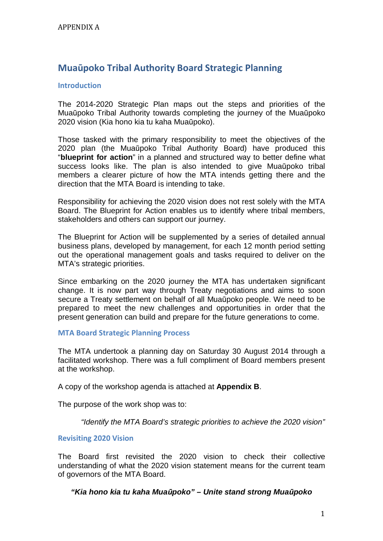# Muaūpoko Tribal Authority Board Strategic Planning

### **Introduction**

The 2014-2020 Strategic Plan maps out the steps and priorities of the Muaūpoko Tribal Authority towards completing the journey of the Muaūpoko 2020 vision (Kia hono kia tu kaha Muaūpoko).

Those tasked with the primary responsibility to meet the objectives of the 2020 plan (the Muaūpoko Tribal Authority Board) have produced this "**blueprint for action**" in a planned and structured way to better define what success looks like. The plan is also intended to give Muaūpoko tribal members a clearer picture of how the MTA intends getting there and the direction that the MTA Board is intending to take.

Responsibility for achieving the 2020 vision does not rest solely with the MTA Board. The Blueprint for Action enables us to identify where tribal members, stakeholders and others can support our journey.

The Blueprint for Action will be supplemented by a series of detailed annual business plans, developed by management, for each 12 month period setting out the operational management goals and tasks required to deliver on the MTA's strategic priorities.

Since embarking on the 2020 journey the MTA has undertaken significant change. It is now part way through Treaty negotiations and aims to soon secure a Treaty settlement on behalf of all Muaūpoko people. We need to be prepared to meet the new challenges and opportunities in order that the present generation can build and prepare for the future generations to come.

#### MTA Board Strategic Planning Process

The MTA undertook a planning day on Saturday 30 August 2014 through a facilitated workshop. There was a full compliment of Board members present at the workshop.

A copy of the workshop agenda is attached at **Appendix B**.

The purpose of the work shop was to:

"Identify the MTA Board's strategic priorities to achieve the 2020 vision"

#### Revisiting 2020 Vision

The Board first revisited the 2020 vision to check their collective understanding of what the 2020 vision statement means for the current team of governors of the MTA Board.

**"Kia hono kia tu kaha Mua**ū**poko" – Unite stand strong Mua**ū**poko**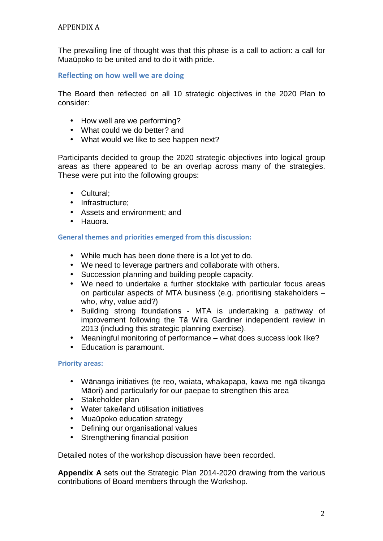The prevailing line of thought was that this phase is a call to action: a call for Muaūpoko to be united and to do it with pride.

Reflecting on how well we are doing

The Board then reflected on all 10 strategic objectives in the 2020 Plan to consider:

- How well are we performing?
- What could we do better? and
- What would we like to see happen next?

Participants decided to group the 2020 strategic objectives into logical group areas as there appeared to be an overlap across many of the strategies. These were put into the following groups:

- Cultural;
- Infrastructure:
- Assets and environment; and
- Hauora.

## General themes and priorities emerged from this discussion:

- While much has been done there is a lot yet to do.
- We need to leverage partners and collaborate with others.
- Succession planning and building people capacity.
- We need to undertake a further stocktake with particular focus areas on particular aspects of MTA business (e.g. prioritising stakeholders – who, why, value add?)
- Building strong foundations MTA is undertaking a pathway of improvement following the Tā Wira Gardiner independent review in 2013 (including this strategic planning exercise).
- Meaningful monitoring of performance what does success look like?
- Education is paramount.

#### Priority areas:

- Wānanga initiatives (te reo, waiata, whakapapa, kawa me ngā tikanga Māori) and particularly for our paepae to strengthen this area
- Stakeholder plan
- Water take/land utilisation initiatives
- Muaūpoko education strategy
- Defining our organisational values
- Strengthening financial position

Detailed notes of the workshop discussion have been recorded.

**Appendix A** sets out the Strategic Plan 2014-2020 drawing from the various contributions of Board members through the Workshop.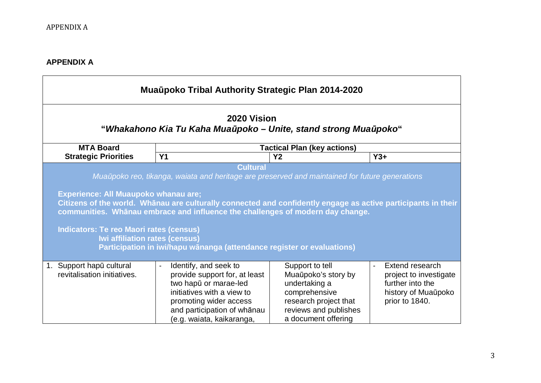# **APPENDIX A**

| <b>Muaūpoko Tribal Authority Strategic Plan 2014-2020</b>                                                                                                                                                                                                                                                                                                                                                                                                                                                                  |                                                                                                                                                                                                     |                                                                                                                                                   |                                                                                                        |  |
|----------------------------------------------------------------------------------------------------------------------------------------------------------------------------------------------------------------------------------------------------------------------------------------------------------------------------------------------------------------------------------------------------------------------------------------------------------------------------------------------------------------------------|-----------------------------------------------------------------------------------------------------------------------------------------------------------------------------------------------------|---------------------------------------------------------------------------------------------------------------------------------------------------|--------------------------------------------------------------------------------------------------------|--|
| 2020 Vision<br>"Whakahono Kia Tu Kaha Muaūpoko – Unite, stand strong Muaūpoko"                                                                                                                                                                                                                                                                                                                                                                                                                                             |                                                                                                                                                                                                     |                                                                                                                                                   |                                                                                                        |  |
| <b>MTA Board</b>                                                                                                                                                                                                                                                                                                                                                                                                                                                                                                           | <b>Tactical Plan (key actions)</b>                                                                                                                                                                  |                                                                                                                                                   |                                                                                                        |  |
| <b>Strategic Priorities</b>                                                                                                                                                                                                                                                                                                                                                                                                                                                                                                | <b>Y1</b>                                                                                                                                                                                           | <b>Y2</b>                                                                                                                                         | $Y3+$                                                                                                  |  |
| <b>Cultural</b><br>Muaūpoko reo, tikanga, waiata and heritage are preserved and maintained for future generations<br><b>Experience: All Muaupoko whanau are;</b><br>Citizens of the world. Whānau are culturally connected and confidently engage as active participants in their<br>communities. Whānau embrace and influence the challenges of modern day change.<br>Indicators: Te reo Maori rates (census)<br>Iwi affiliation rates (census)<br>Participation in iwi/hapu wänanga (attendance register or evaluations) |                                                                                                                                                                                                     |                                                                                                                                                   |                                                                                                        |  |
| 1. Support hapu cultural<br>revitalisation initiatives.                                                                                                                                                                                                                                                                                                                                                                                                                                                                    | Identify, and seek to<br>provide support for, at least<br>two hapū or marae-led<br>initiatives with a view to<br>promoting wider access<br>and participation of whanau<br>(e.g. waiata, kaikaranga, | Support to tell<br>Muaūpoko's story by<br>undertaking a<br>comprehensive<br>research project that<br>reviews and publishes<br>a document offering | Extend research<br>project to investigate<br>further into the<br>history of Muaūpoko<br>prior to 1840. |  |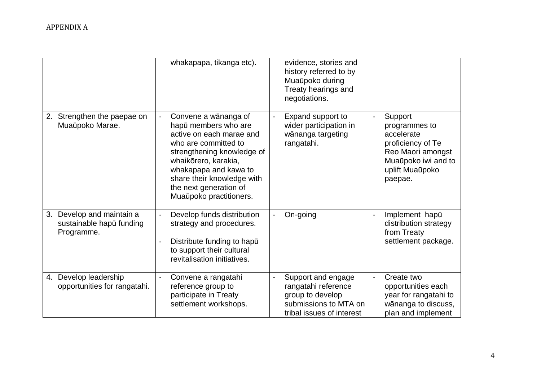|                                                                     | whakapapa, tikanga etc).                                                                                                                                                                                                                                           | evidence, stories and<br>history referred to by<br>Muaūpoko during<br>Treaty hearings and<br>negotiations.                                      |                                                                                                                                                         |
|---------------------------------------------------------------------|--------------------------------------------------------------------------------------------------------------------------------------------------------------------------------------------------------------------------------------------------------------------|-------------------------------------------------------------------------------------------------------------------------------------------------|---------------------------------------------------------------------------------------------------------------------------------------------------------|
| 2. Strengthen the paepae on<br>Muaūpoko Marae.                      | Convene a wānanga of<br>hapū members who are<br>active on each marae and<br>who are committed to<br>strengthening knowledge of<br>whaikōrero, karakia,<br>whakapapa and kawa to<br>share their knowledge with<br>the next generation of<br>Muaūpoko practitioners. | Expand support to<br>wider participation in<br>wānanga targeting<br>rangatahi.                                                                  | Support<br>$\blacksquare$<br>programmes to<br>accelerate<br>proficiency of Te<br>Reo Maori amongst<br>Muaūpoko iwi and to<br>uplift Muaūpoko<br>paepae. |
| 3. Develop and maintain a<br>sustainable hapū funding<br>Programme. | Develop funds distribution<br>strategy and procedures.<br>Distribute funding to hapu<br>to support their cultural<br>revitalisation initiatives.                                                                                                                   | On-going                                                                                                                                        | Implement hapū<br>distribution strategy<br>from Treaty<br>settlement package.                                                                           |
| 4. Develop leadership<br>opportunities for rangatahi.               | Convene a rangatahi<br>reference group to<br>participate in Treaty<br>settlement workshops.                                                                                                                                                                        | Support and engage<br>$\overline{\phantom{a}}$<br>rangatahi reference<br>group to develop<br>submissions to MTA on<br>tribal issues of interest | Create two<br>$\blacksquare$<br>opportunities each<br>year for rangatahi to<br>wānanga to discuss,<br>plan and implement                                |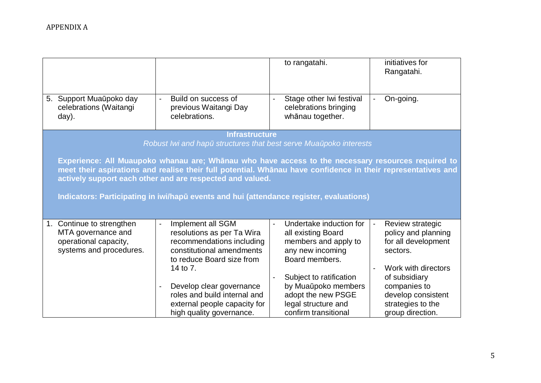|                                                                                                                                                                                                                                                                                 |                                                                                                                                        | to rangatahi.                                                                                                       | initiatives for<br>Rangatahi.                                                                                       |  |  |
|---------------------------------------------------------------------------------------------------------------------------------------------------------------------------------------------------------------------------------------------------------------------------------|----------------------------------------------------------------------------------------------------------------------------------------|---------------------------------------------------------------------------------------------------------------------|---------------------------------------------------------------------------------------------------------------------|--|--|
| 5. Support Muaūpoko day<br>celebrations (Waitangi<br>day).                                                                                                                                                                                                                      | Build on success of<br>$\overline{a}$<br>previous Waitangi Day<br>celebrations.                                                        | Stage other Iwi festival<br>celebrations bringing<br>whānau together.                                               | On-going.                                                                                                           |  |  |
|                                                                                                                                                                                                                                                                                 | <b>Infrastructure</b><br>Robust Iwi and hapū structures that best serve Muaūpoko interests                                             |                                                                                                                     |                                                                                                                     |  |  |
| Experience: All Muaupoko whanau are; Whānau who have access to the necessary resources required to<br>meet their aspirations and realise their full potential. Whānau have confidence in their representatives and<br>actively support each other and are respected and valued. |                                                                                                                                        |                                                                                                                     |                                                                                                                     |  |  |
| Indicators: Participating in iwi/hapū events and hui (attendance register, evaluations)                                                                                                                                                                                         |                                                                                                                                        |                                                                                                                     |                                                                                                                     |  |  |
| 1. Continue to strengthen<br>MTA governance and<br>operational capacity,<br>systems and procedures.                                                                                                                                                                             | Implement all SGM<br>resolutions as per Ta Wira<br>recommendations including<br>constitutional amendments<br>to reduce Board size from | Undertake induction for<br>all existing Board<br>members and apply to<br>any new incoming<br>Board members.         | Review strategic<br>$\blacksquare$<br>policy and planning<br>for all development<br>sectors.                        |  |  |
|                                                                                                                                                                                                                                                                                 | 14 to 7.<br>Develop clear governance<br>roles and build internal and<br>external people capacity for<br>high quality governance.       | Subject to ratification<br>by Muaūpoko members<br>adopt the new PSGE<br>legal structure and<br>confirm transitional | Work with directors<br>of subsidiary<br>companies to<br>develop consistent<br>strategies to the<br>group direction. |  |  |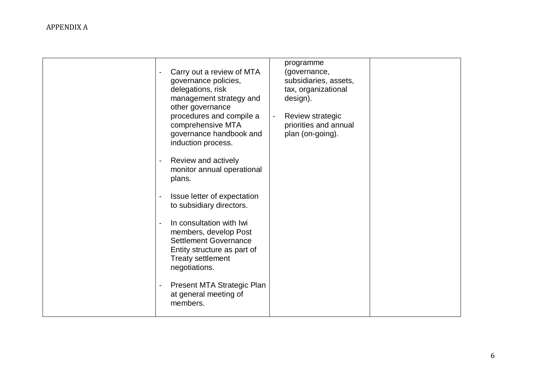| Carry out a review of MTA<br>governance policies,<br>delegations, risk<br>management strategy and<br>other governance<br>procedures and compile a<br>comprehensive MTA<br>governance handbook and<br>induction process.<br>Review and actively<br>$\overline{a}$<br>monitor annual operational<br>plans.<br>Issue letter of expectation<br>$\blacksquare$<br>to subsidiary directors.<br>In consultation with Iwi<br>$\overline{a}$<br>members, develop Post<br><b>Settlement Governance</b><br>Entity structure as part of<br><b>Treaty settlement</b><br>negotiations.<br>Present MTA Strategic Plan<br>$\blacksquare$<br>at general meeting of<br>members. | programme<br>(governance,<br>subsidiaries, assets,<br>tax, organizational<br>design).<br>Review strategic<br>$\blacksquare$<br>priorities and annual<br>plan (on-going). |  |
|---------------------------------------------------------------------------------------------------------------------------------------------------------------------------------------------------------------------------------------------------------------------------------------------------------------------------------------------------------------------------------------------------------------------------------------------------------------------------------------------------------------------------------------------------------------------------------------------------------------------------------------------------------------|--------------------------------------------------------------------------------------------------------------------------------------------------------------------------|--|
|                                                                                                                                                                                                                                                                                                                                                                                                                                                                                                                                                                                                                                                               |                                                                                                                                                                          |  |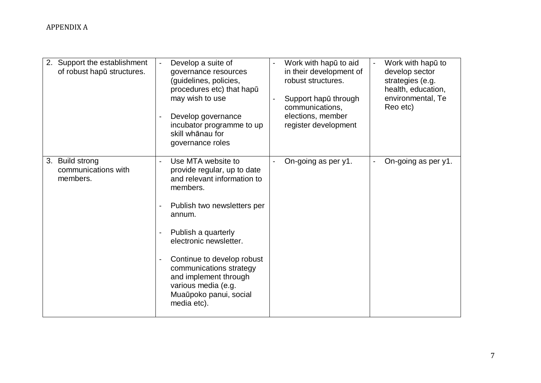| 2. Support the establishment<br>of robust hapul structures. | Develop a suite of<br>governance resources<br>(guidelines, policies,<br>procedures etc) that hapū<br>may wish to use<br>Develop governance<br>incubator programme to up<br>skill whānau for<br>governance roles                                                                                                                               | Work with haput to aid<br>in their development of<br>robust structures.<br>Support hapū through<br>communications,<br>elections, member<br>register development | Work with haput to<br>develop sector<br>strategies (e.g.<br>health, education,<br>environmental, Te<br>Reo etc) |
|-------------------------------------------------------------|-----------------------------------------------------------------------------------------------------------------------------------------------------------------------------------------------------------------------------------------------------------------------------------------------------------------------------------------------|-----------------------------------------------------------------------------------------------------------------------------------------------------------------|-----------------------------------------------------------------------------------------------------------------|
| 3. Build strong<br>communications with<br>members.          | Use MTA website to<br>provide regular, up to date<br>and relevant information to<br>members.<br>Publish two newsletters per<br>annum.<br>Publish a quarterly<br>electronic newsletter.<br>Continue to develop robust<br>-<br>communications strategy<br>and implement through<br>various media (e.g.<br>Muaūpoko panui, social<br>media etc). | On-going as per y1.                                                                                                                                             | On-going as per y1.                                                                                             |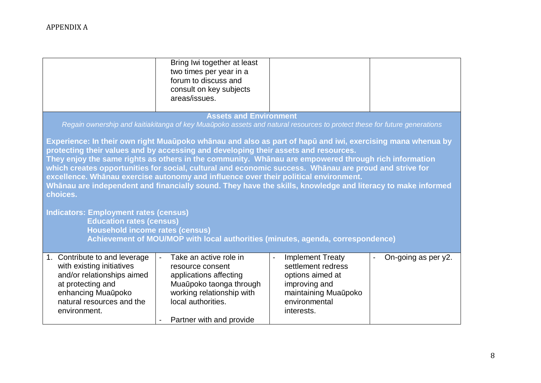|                                                                                                                                                                                                                                                                                                                                                                                                                                                                                                                                                                                                                                                                                                                                                                                                                                                                                       | Bring Iwi together at least<br>two times per year in a<br>forum to discuss and<br>consult on key subjects<br>areas/issues.                                                                     |                                                                                                                                                             |                     |  |
|---------------------------------------------------------------------------------------------------------------------------------------------------------------------------------------------------------------------------------------------------------------------------------------------------------------------------------------------------------------------------------------------------------------------------------------------------------------------------------------------------------------------------------------------------------------------------------------------------------------------------------------------------------------------------------------------------------------------------------------------------------------------------------------------------------------------------------------------------------------------------------------|------------------------------------------------------------------------------------------------------------------------------------------------------------------------------------------------|-------------------------------------------------------------------------------------------------------------------------------------------------------------|---------------------|--|
| <b>Assets and Environment</b><br>Regain ownership and kaitiakitanga of key Muaūpoko assets and natural resources to protect these for future generations<br>Experience: In their own right Muaūpoko whānau and also as part of hapū and iwi, exercising mana whenua by<br>protecting their values and by accessing and developing their assets and resources.<br>They enjoy the same rights as others in the community. Whānau are empowered through rich information<br>which creates opportunities for social, cultural and economic success. Whānau are proud and strive for<br>excellence. Whānau exercise autonomy and influence over their political environment.<br>Whānau are independent and financially sound. They have the skills, knowledge and literacy to make informed<br>choices.<br><b>Indicators: Employment rates (census)</b><br><b>Education rates (census)</b> |                                                                                                                                                                                                |                                                                                                                                                             |                     |  |
| <b>Household income rates (census)</b>                                                                                                                                                                                                                                                                                                                                                                                                                                                                                                                                                                                                                                                                                                                                                                                                                                                | Achievement of MOU/MOP with local authorities (minutes, agenda, correspondence)                                                                                                                |                                                                                                                                                             |                     |  |
| 1. Contribute to and leverage<br>with existing initiatives<br>and/or relationships aimed<br>at protecting and<br>enhancing Muaūpoko<br>natural resources and the<br>environment.                                                                                                                                                                                                                                                                                                                                                                                                                                                                                                                                                                                                                                                                                                      | Take an active role in<br>$\mathbf{r}$<br>resource consent<br>applications affecting<br>Muaūpoko taonga through<br>working relationship with<br>local authorities.<br>Partner with and provide | <b>Implement Treaty</b><br>$\blacksquare$<br>settlement redress<br>options aimed at<br>improving and<br>maintaining Muaūpoko<br>environmental<br>interests. | On-going as per y2. |  |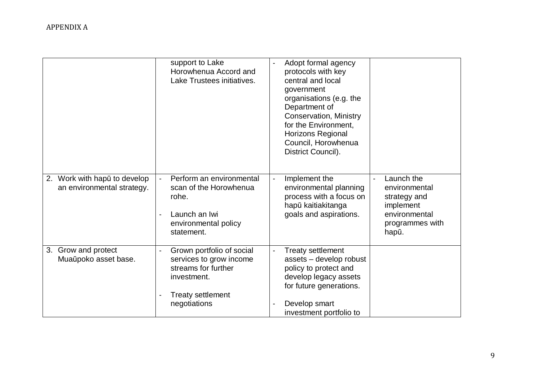|                                                             | support to Lake<br>Horowhenua Accord and<br>Lake Trustees initiatives.                                                                 | Adopt formal agency<br>protocols with key<br>central and local<br>government<br>organisations (e.g. the<br>Department of<br><b>Conservation, Ministry</b><br>for the Environment,<br><b>Horizons Regional</b><br>Council, Horowhenua<br>District Council). |                                                                                                       |
|-------------------------------------------------------------|----------------------------------------------------------------------------------------------------------------------------------------|------------------------------------------------------------------------------------------------------------------------------------------------------------------------------------------------------------------------------------------------------------|-------------------------------------------------------------------------------------------------------|
| 2. Work with haput to develop<br>an environmental strategy. | Perform an environmental<br>scan of the Horowhenua<br>rohe.<br>Launch an Iwi<br>environmental policy<br>statement.                     | Implement the<br>environmental planning<br>process with a focus on<br>hapū kaitiakitanga<br>goals and aspirations.                                                                                                                                         | Launch the<br>environmental<br>strategy and<br>implement<br>environmental<br>programmes with<br>hapū. |
| 3. Grow and protect<br>Muaūpoko asset base.                 | Grown portfolio of social<br>services to grow income<br>streams for further<br>investment.<br><b>Treaty settlement</b><br>negotiations | <b>Treaty settlement</b><br>assets - develop robust<br>policy to protect and<br>develop legacy assets<br>for future generations.<br>Develop smart<br>investment portfolio to                                                                               |                                                                                                       |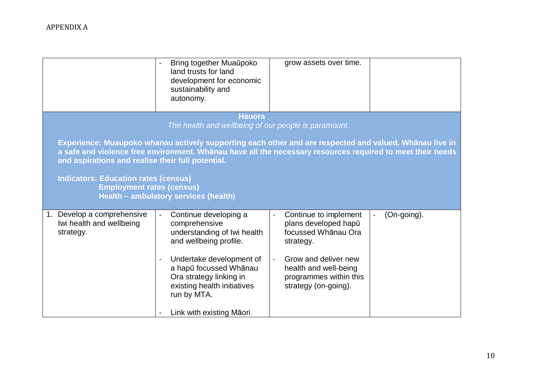|                                                                                                                                      | Bring together Muaūpoko<br>land trusts for land<br>development for economic<br>sustainability and<br>autonomy.                                                                                                                                                 | grow assets over time.                                                                                                                                                               |             |
|--------------------------------------------------------------------------------------------------------------------------------------|----------------------------------------------------------------------------------------------------------------------------------------------------------------------------------------------------------------------------------------------------------------|--------------------------------------------------------------------------------------------------------------------------------------------------------------------------------------|-------------|
|                                                                                                                                      | <b>Hauora</b><br>The health and wellbeing of our people is paramount                                                                                                                                                                                           |                                                                                                                                                                                      |             |
| and aspirations and realise their full potential.<br><b>Indicators: Education rates (census)</b><br><b>Employment rates (census)</b> | Experience: Muaupoko whanau actively supporting each other and are respected and valued. Whānau live in<br>a safe and violence free environment. Whānau have all the necessary resources required to meet their needs<br>Health - ambulatory services (health) |                                                                                                                                                                                      |             |
| 1. Develop a comprehensive<br>Iwi health and wellbeing<br>strategy.                                                                  | Continue developing a<br>comprehensive<br>understanding of Iwi health<br>and wellbeing profile.<br>Undertake development of<br>a hapū focussed Whānau<br>Ora strategy linking in<br>existing health initiatives                                                | Continue to implement<br>plans developed hapū<br>focussed Whānau Ora<br>strategy.<br>Grow and deliver new<br>health and well-being<br>programmes within this<br>strategy (on-going). | (On-going). |